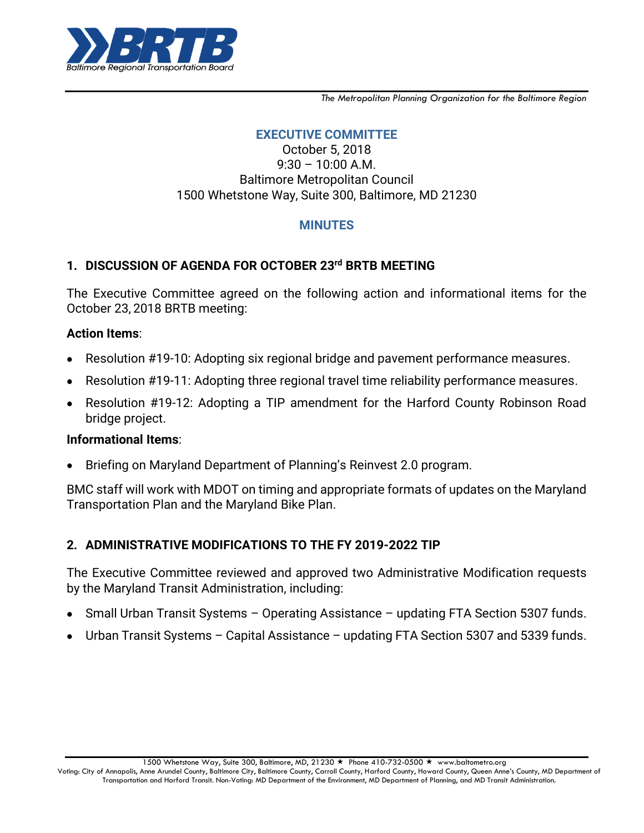

*The Metropolitan Planning Organization for the Baltimore Region*

# **EXECUTIVE COMMITTEE**

October 5, 2018  $9:30 - 10:00$  A.M. Baltimore Metropolitan Council 1500 Whetstone Way, Suite 300, Baltimore, MD 21230

## **MINUTES**

# **1. DISCUSSION OF AGENDA FOR OCTOBER 23 rd BRTB MEETING**

The Executive Committee agreed on the following action and informational items for the October 23, 2018 BRTB meeting:

### **Action Items**:

- Resolution #19-10: Adopting six regional bridge and pavement performance measures.
- Resolution #19-11: Adopting three regional travel time reliability performance measures.
- Resolution #19-12: Adopting a TIP amendment for the Harford County Robinson Road  $\bullet$ bridge project.

#### **Informational Items**:

Briefing on Maryland Department of Planning's Reinvest 2.0 program.  $\bullet$ 

BMC staff will work with MDOT on timing and appropriate formats of updates on the Maryland Transportation Plan and the Maryland Bike Plan.

## **2. ADMINISTRATIVE MODIFICATIONS TO THE FY 2019-2022 TIP**

The Executive Committee reviewed and approved two Administrative Modification requests by the Maryland Transit Administration, including:

- Small Urban Transit Systems Operating Assistance updating FTA Section 5307 funds.
- Urban Transit Systems Capital Assistance updating FTA Section 5307 and 5339 funds.